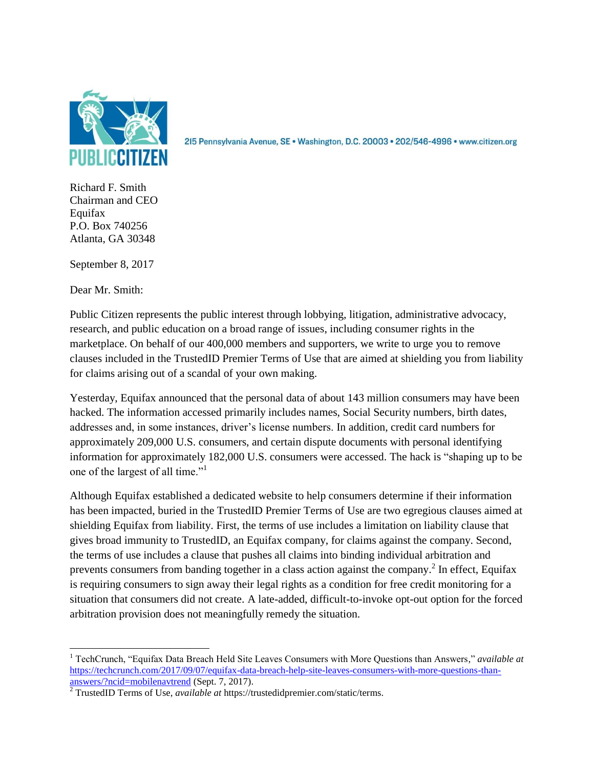

215 Pennsylvania Avenue, SE · Washington, D.C. 20003 · 202/546-4996 · www.citizen.org

Richard F. Smith Chairman and CEO Equifax P.O. Box 740256 Atlanta, GA 30348

September 8, 2017

Dear Mr. Smith:

Public Citizen represents the public interest through lobbying, litigation, administrative advocacy, research, and public education on a broad range of issues, including consumer rights in the marketplace. On behalf of our 400,000 members and supporters, we write to urge you to remove clauses included in the TrustedID Premier Terms of Use that are aimed at shielding you from liability for claims arising out of a scandal of your own making.

Yesterday, Equifax announced that the personal data of about 143 million consumers may have been hacked. The information accessed primarily includes names, Social Security numbers, birth dates, addresses and, in some instances, driver's license numbers. In addition, credit card numbers for approximately 209,000 U.S. consumers, and certain dispute documents with personal identifying information for approximately 182,000 U.S. consumers were accessed. The hack is "shaping up to be one of the largest of all time."<sup>1</sup>

Although Equifax established a dedicated website to help consumers determine if their information has been impacted, buried in the TrustedID Premier Terms of Use are two egregious clauses aimed at shielding Equifax from liability. First, the terms of use includes a limitation on liability clause that gives broad immunity to TrustedID, an Equifax company, for claims against the company. Second, the terms of use includes a clause that pushes all claims into binding individual arbitration and prevents consumers from banding together in a class action against the company.<sup>2</sup> In effect, Equifax is requiring consumers to sign away their legal rights as a condition for free credit monitoring for a situation that consumers did not create. A late-added, difficult-to-invoke opt-out option for the forced arbitration provision does not meaningfully remedy the situation.

 $\overline{\phantom{a}}$ <sup>1</sup> TechCrunch, "Equifax Data Breach Held Site Leaves Consumers with More Questions than Answers*,*" *available at* [https://techcrunch.com/2017/09/07/equifax-data-breach-help-site-leaves-consumers-with-more-questions-than](https://techcrunch.com/2017/09/07/equifax-data-breach-help-site-leaves-consumers-with-more-questions-than-answers/?ncid=mobilenavtrend)[answers/?ncid=mobilenavtrend](https://techcrunch.com/2017/09/07/equifax-data-breach-help-site-leaves-consumers-with-more-questions-than-answers/?ncid=mobilenavtrend) (Sept. 7, 2017).

<sup>2</sup> TrustedID Terms of Use, *available at* https://trustedidpremier.com/static/terms.